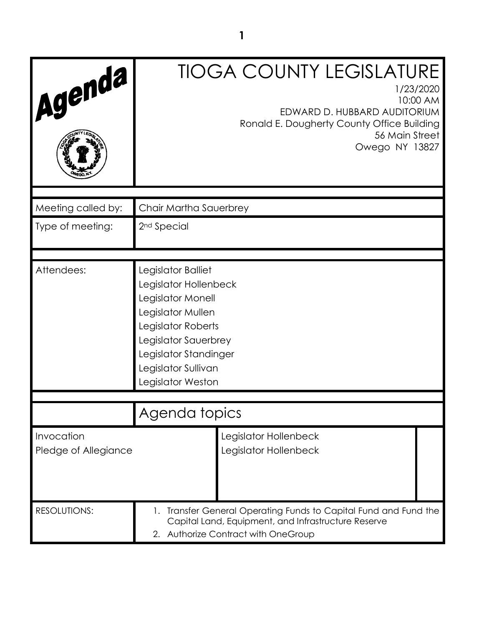| Agenda                             | <b>TIOGA COUNTY LEGISLATURE</b><br>1/23/2020<br>10:00 AM<br>EDWARD D. HUBBARD AUDITORIUM<br>Ronald E. Dougherty County Office Building<br>56 Main Street<br>Owego NY 13827                               |  |  |
|------------------------------------|----------------------------------------------------------------------------------------------------------------------------------------------------------------------------------------------------------|--|--|
| Meeting called by:                 | Chair Martha Sauerbrey                                                                                                                                                                                   |  |  |
| Type of meeting:                   | 2 <sup>nd</sup> Special                                                                                                                                                                                  |  |  |
| Attendees:                         | Legislator Balliet<br>Legislator Hollenbeck<br>Legislator Monell<br>Legislator Mullen<br>Legislator Roberts<br>Legislator Sauerbrey<br>Legislator Standinger<br>Legislator Sullivan<br>Legislator Weston |  |  |
|                                    | Agenda topics                                                                                                                                                                                            |  |  |
| Invocation<br>Pledge of Allegiance | Legislator Hollenbeck<br>Legislator Hollenbeck                                                                                                                                                           |  |  |
| RESOLUTIONS:                       | 1. Transfer General Operating Funds to Capital Fund and Fund the<br>Capital Land, Equipment, and Infrastructure Reserve<br>2. Authorize Contract with OneGroup                                           |  |  |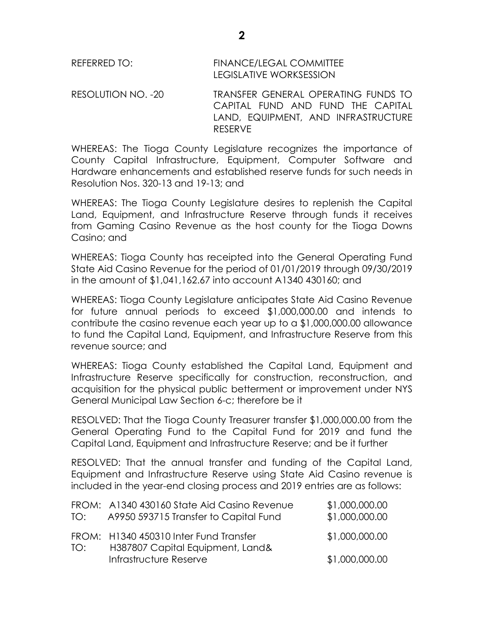| REFERRED TO: | <b>FINANCE/LEGAL COMMITTEE</b> |
|--------------|--------------------------------|
|              | LEGISLATIVE WORKSESSION        |

RESOLUTION NO. -20 TRANSFER GENERAL OPERATING FUNDS TO CAPITAL FUND AND FUND THE CAPITAL LAND, EQUIPMENT, AND INFRASTRUCTURE RESERVE

WHEREAS: The Tioga County Legislature recognizes the importance of County Capital Infrastructure, Equipment, Computer Software and Hardware enhancements and established reserve funds for such needs in Resolution Nos. 320-13 and 19-13; and

WHEREAS: The Tioga County Legislature desires to replenish the Capital Land, Equipment, and Infrastructure Reserve through funds it receives from Gaming Casino Revenue as the host county for the Tioga Downs Casino; and

WHEREAS: Tioga County has receipted into the General Operating Fund State Aid Casino Revenue for the period of 01/01/2019 through 09/30/2019 in the amount of \$1,041,162.67 into account A1340 430160; and

WHEREAS: Tioga County Legislature anticipates State Aid Casino Revenue for future annual periods to exceed \$1,000,000.00 and intends to contribute the casino revenue each year up to a \$1,000,000.00 allowance to fund the Capital Land, Equipment, and Infrastructure Reserve from this revenue source; and

WHEREAS: Tioga County established the Capital Land, Equipment and Infrastructure Reserve specifically for construction, reconstruction, and acquisition for the physical public betterment or improvement under NYS General Municipal Law Section 6-c; therefore be it

RESOLVED: That the Tioga County Treasurer transfer \$1,000,000.00 from the General Operating Fund to the Capital Fund for 2019 and fund the Capital Land, Equipment and Infrastructure Reserve; and be it further

RESOLVED: That the annual transfer and funding of the Capital Land, Equipment and Infrastructure Reserve using State Aid Casino revenue is included in the year-end closing process and 2019 entries are as follows:

| TO: | FROM: A1340 430160 State Aid Casino Revenue<br>A9950 593715 Transfer to Capital Fund | \$1,000,000.00<br>\$1,000,000.00 |
|-----|--------------------------------------------------------------------------------------|----------------------------------|
| TO: | FROM: H1340 450310 Inter Fund Transfer<br>H387807 Capital Equipment, Land&           | \$1,000,000.00                   |
|     | Infrastructure Reserve                                                               | \$1,000,000.00                   |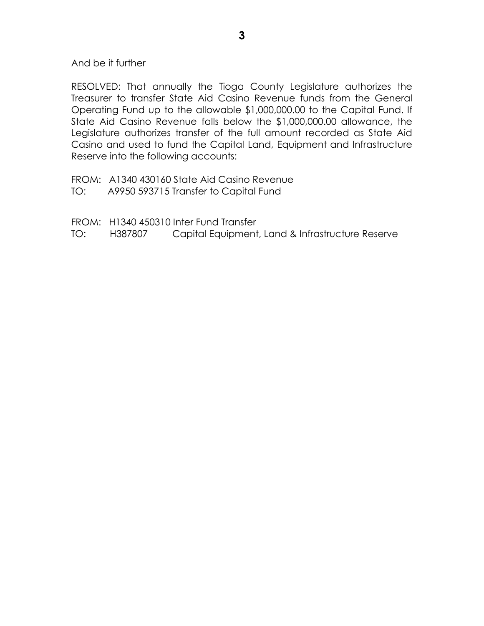And be it further

RESOLVED: That annually the Tioga County Legislature authorizes the Treasurer to transfer State Aid Casino Revenue funds from the General Operating Fund up to the allowable \$1,000,000.00 to the Capital Fund. If State Aid Casino Revenue falls below the \$1,000,000.00 allowance, the Legislature authorizes transfer of the full amount recorded as State Aid Casino and used to fund the Capital Land, Equipment and Infrastructure Reserve into the following accounts:

FROM: A1340 430160 State Aid Casino Revenue

TO: A9950 593715 Transfer to Capital Fund

FROM: H1340 450310 Inter Fund Transfer

TO: H387807 Capital Equipment, Land & Infrastructure Reserve